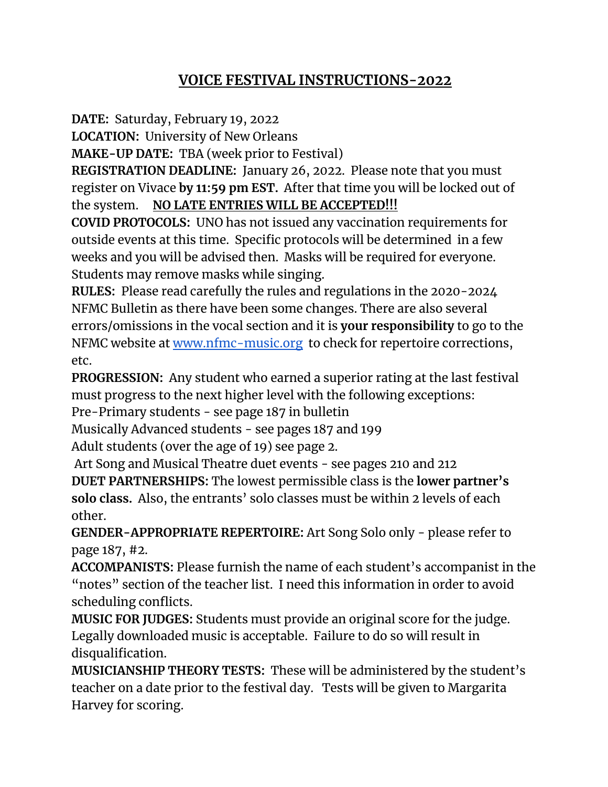## **VOICE FESTIVAL INSTRUCTIONS-2022**

**DATE:** Saturday, February 19, 2022

**LOCATION:** University of New Orleans

**MAKE-UP DATE:** TBA (week prior to Festival)

**REGISTRATION DEADLINE:** January 26, 2022. Please note that you must register on Vivace **by 11:59 pm EST.** After that time you will be locked out of the system. **NO LATE ENTRIES WILL BE ACCEPTED!!!**

**COVID PROTOCOLS:** UNO has not issued any vaccination requirements for outside events at this time. Specific protocols will be determined in a few weeks and you will be advised then. Masks will be required for everyone. Students may remove masks while singing.

**RULES:** Please read carefully the rules and regulations in the 2020-2024 NFMC Bulletin as there have been some changes. There are also several errors/omissions in the vocal section and it is **your responsibility** to go to the NFMC website at [www.nfmc-music.org](http://www.nfmc-music.org) to check for repertoire corrections, etc.

**PROGRESSION:** Any student who earned a superior rating at the last festival must progress to the next higher level with the following exceptions:

Pre-Primary students - see page 187 in bulletin

Musically Advanced students - see pages 187 and 199

Adult students (over the age of 19) see page 2.

Art Song and Musical Theatre duet events - see pages 210 and 212 **DUET PARTNERSHIPS:** The lowest permissible class is the **lower partner's solo class.** Also, the entrants' solo classes must be within 2 levels of each other.

**GENDER-APPROPRIATE REPERTOIRE:** Art Song Solo only - please refer to page 187, #2.

**ACCOMPANISTS:** Please furnish the name of each student's accompanist in the "notes" section of the teacher list. I need this information in order to avoid scheduling conflicts.

**MUSIC FOR JUDGES:** Students must provide an original score for the judge. Legally downloaded music is acceptable. Failure to do so will result in disqualification.

**MUSICIANSHIP THEORY TESTS:** These will be administered by the student's teacher on a date prior to the festival day. Tests will be given to Margarita Harvey for scoring.